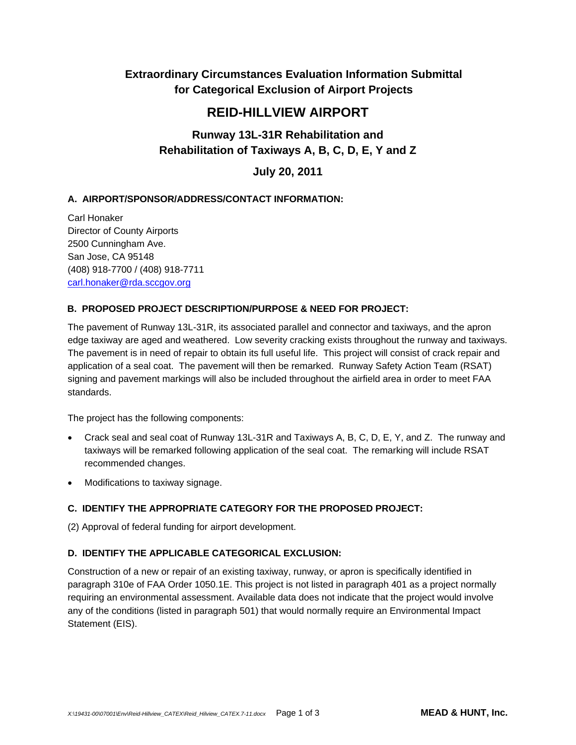# **Extraordinary Circumstances Evaluation Information Submittal for Categorical Exclusion of Airport Projects**

# **REID-HILLVIEW AIRPORT**

# **Runway 13L-31R Rehabilitation and Rehabilitation of Taxiways A, B, C, D, E, Y and Z**

**July 20, 2011** 

# **A. AIRPORT/SPONSOR/ADDRESS/CONTACT INFORMATION:**

Carl Honaker Director of County Airports 2500 Cunningham Ave. San Jose, CA 95148 (408) 918-7700 / (408) 918-7711 carl.honaker@rda.sccgov.org

# **B. PROPOSED PROJECT DESCRIPTION/PURPOSE & NEED FOR PROJECT:**

The pavement of Runway 13L-31R, its associated parallel and connector and taxiways, and the apron edge taxiway are aged and weathered. Low severity cracking exists throughout the runway and taxiways. The pavement is in need of repair to obtain its full useful life. This project will consist of crack repair and application of a seal coat. The pavement will then be remarked. Runway Safety Action Team (RSAT) signing and pavement markings will also be included throughout the airfield area in order to meet FAA standards.

The project has the following components:

- Crack seal and seal coat of Runway 13L-31R and Taxiways A, B, C, D, E, Y, and Z. The runway and taxiways will be remarked following application of the seal coat. The remarking will include RSAT recommended changes.
- Modifications to taxiway signage.

# **C. IDENTIFY THE APPROPRIATE CATEGORY FOR THE PROPOSED PROJECT:**

(2) Approval of federal funding for airport development.

# **D. IDENTIFY THE APPLICABLE CATEGORICAL EXCLUSION:**

Construction of a new or repair of an existing taxiway, runway, or apron is specifically identified in paragraph 310e of FAA Order 1050.1E. This project is not listed in paragraph 401 as a project normally requiring an environmental assessment. Available data does not indicate that the project would involve any of the conditions (listed in paragraph 501) that would normally require an Environmental Impact Statement (EIS).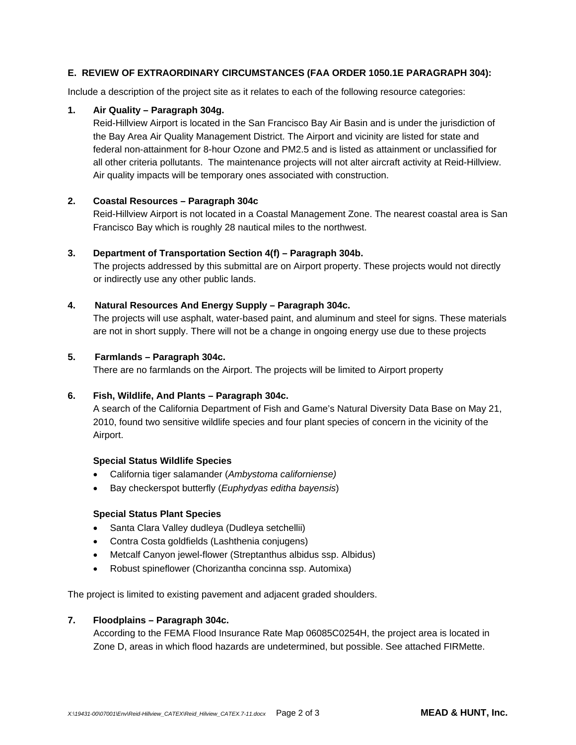# **E. REVIEW OF EXTRAORDINARY CIRCUMSTANCES (FAA ORDER 1050.1E PARAGRAPH 304):**

Include a description of the project site as it relates to each of the following resource categories:

#### **1. Air Quality – Paragraph 304g.**

Reid-Hillview Airport is located in the San Francisco Bay Air Basin and is under the jurisdiction of the Bay Area Air Quality Management District. The Airport and vicinity are listed for state and federal non-attainment for 8-hour Ozone and PM2.5 and is listed as attainment or unclassified for all other criteria pollutants. The maintenance projects will not alter aircraft activity at Reid-Hillview. Air quality impacts will be temporary ones associated with construction.

## **2. Coastal Resources – Paragraph 304c**

Reid-Hillview Airport is not located in a Coastal Management Zone. The nearest coastal area is San Francisco Bay which is roughly 28 nautical miles to the northwest.

## **3. Department of Transportation Section 4(f) – Paragraph 304b.**

The projects addressed by this submittal are on Airport property. These projects would not directly or indirectly use any other public lands.

## **4. Natural Resources And Energy Supply – Paragraph 304c.**

The projects will use asphalt, water-based paint, and aluminum and steel for signs. These materials are not in short supply. There will not be a change in ongoing energy use due to these projects

#### **5. Farmlands – Paragraph 304c.**

There are no farmlands on the Airport. The projects will be limited to Airport property

#### **6. Fish, Wildlife, And Plants – Paragraph 304c.**

A search of the California Department of Fish and Game's Natural Diversity Data Base on May 21, 2010, found two sensitive wildlife species and four plant species of concern in the vicinity of the Airport.

#### **Special Status Wildlife Species**

- California tiger salamander (*Ambystoma californiense)*
- Bay checkerspot butterfly (*Euphydyas editha bayensis*)

#### **Special Status Plant Species**

- Santa Clara Valley dudleya (Dudleya setchellii)
- Contra Costa goldfields (Lashthenia conjugens)
- Metcalf Canyon jewel-flower (Streptanthus albidus ssp. Albidus)
- Robust spineflower (Chorizantha concinna ssp. Automixa)

The project is limited to existing pavement and adjacent graded shoulders.

## **7. Floodplains – Paragraph 304c.**

According to the FEMA Flood Insurance Rate Map 06085C0254H, the project area is located in Zone D, areas in which flood hazards are undetermined, but possible. See attached FIRMette.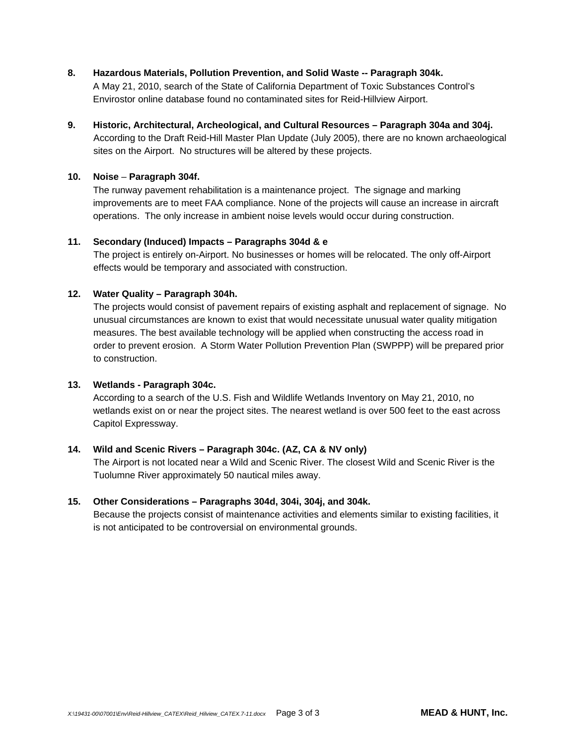- **8. Hazardous Materials, Pollution Prevention, and Solid Waste -- Paragraph 304k.**  A May 21, 2010, search of the State of California Department of Toxic Substances Control's Envirostor online database found no contaminated sites for Reid-Hillview Airport.
- **9. Historic, Architectural, Archeological, and Cultural Resources Paragraph 304a and 304j.**  According to the Draft Reid-Hill Master Plan Update (July 2005), there are no known archaeological sites on the Airport. No structures will be altered by these projects.

# **10. Noise** – **Paragraph 304f.**

The runway pavement rehabilitation is a maintenance project. The signage and marking improvements are to meet FAA compliance. None of the projects will cause an increase in aircraft operations. The only increase in ambient noise levels would occur during construction.

## **11. Secondary (Induced) Impacts – Paragraphs 304d & e**

The project is entirely on-Airport. No businesses or homes will be relocated. The only off-Airport effects would be temporary and associated with construction.

# **12. Water Quality – Paragraph 304h.**

The projects would consist of pavement repairs of existing asphalt and replacement of signage. No unusual circumstances are known to exist that would necessitate unusual water quality mitigation measures. The best available technology will be applied when constructing the access road in order to prevent erosion. A Storm Water Pollution Prevention Plan (SWPPP) will be prepared prior to construction.

# **13. Wetlands - Paragraph 304c.**

According to a search of the U.S. Fish and Wildlife Wetlands Inventory on May 21, 2010, no wetlands exist on or near the project sites. The nearest wetland is over 500 feet to the east across Capitol Expressway.

# **14. Wild and Scenic Rivers – Paragraph 304c. (AZ, CA & NV only)**

The Airport is not located near a Wild and Scenic River. The closest Wild and Scenic River is the Tuolumne River approximately 50 nautical miles away.

# **15. Other Considerations – Paragraphs 304d, 304i, 304j, and 304k.**

Because the projects consist of maintenance activities and elements similar to existing facilities, it is not anticipated to be controversial on environmental grounds.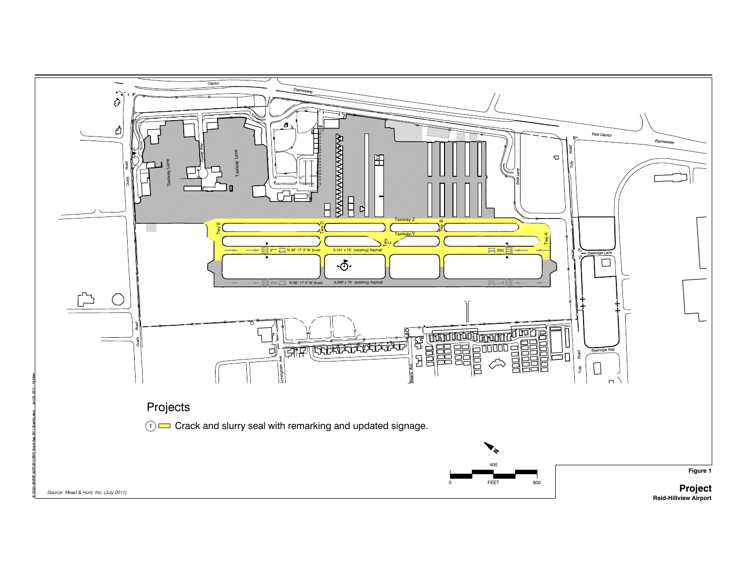